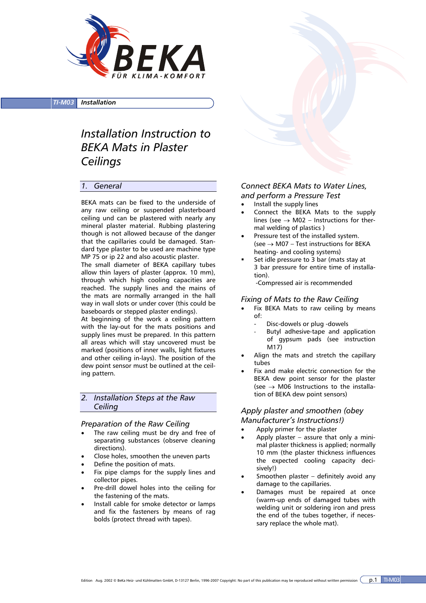

*TI-M03 Installation*

# *Installation Instruction to BEKA Mats in Plaster Ceilings*

# *1. General*

BEKA mats can be fixed to the underside of any raw ceiling or suspended plasterboard ceiling und can be plastered with nearly any mineral plaster material. Rubbing plastering though is not allowed because of the danger that the capillaries could be damaged. Standard type plaster to be used are machine type MP 75 or ip 22 and also acoustic plaster.

The small diameter of BEKA capillary tubes allow thin layers of plaster (approx. 10 mm), through which high cooling capacities are reached. The supply lines and the mains of the mats are normally arranged in the hall way in wall slots or under cover (this could be baseboards or stepped plaster endings).

At beginning of the work a ceiling pattern with the lay-out for the mats positions and supply lines must be prepared. In this pattern all areas which will stay uncovered must be marked (positions of inner walls, light fixtures and other ceiling in-lays). The position of the dew point sensor must be outlined at the ceiling pattern.

# *2. Installation Steps at the Raw Ceiling*

#### *Preparation of the Raw Ceiling*

- The raw ceiling must be dry and free of separating substances (observe cleaning directions).
- Close holes, smoothen the uneven parts
- Define the position of mats.
- Fix pipe clamps for the supply lines and collector pipes.
- Pre-drill dowel holes into the ceiling for the fastening of the mats.
- Install cable for smoke detector or lamps and fix the fasteners by means of rag bolds (protect thread with tapes).

# *Connect BEKA Mats to Water Lines, and perform a Pressure Test*

- Install the supply lines
- Connect the BEKA Mats to the supply lines (see  $\rightarrow$  M02 – Instructions for thermal welding of plastics )
- Pressure test of the installed system. (see  $\rightarrow$  M07 – Test instructions for BEKA heating- and cooling systems)
- Set idle pressure to 3 bar (mats stay at 3 bar pressure for entire time of installation).

-Compressed air is recommended

#### *Fixing of Mats to the Raw Ceiling*

- Fix BEKA Mats to raw ceiling by means of:
	- Disc-dowels or plug -dowels
	- Butyl adhesive-tape and application of gypsum pads (see instruction M17)
- Align the mats and stretch the capillary tubes
- Fix and make electric connection for the BEKA dew point sensor for the plaster (see  $\rightarrow$  M06 Instructions to the installation of BEKA dew point sensors)

#### *Apply plaster and smoothen (obey Manufacturer's Instructions!)*

- Apply primer for the plaster
- Apply plaster  $-$  assure that only a minimal plaster thickness is applied; normally 10 mm (the plaster thickness influences the expected cooling capacity decisively!)
- Smoothen plaster definitely avoid any damage to the capillaries.
- Damages must be repaired at once (warm-up ends of damaged tubes with welding unit or soldering iron and press the end of the tubes together, if necessary replace the whole mat).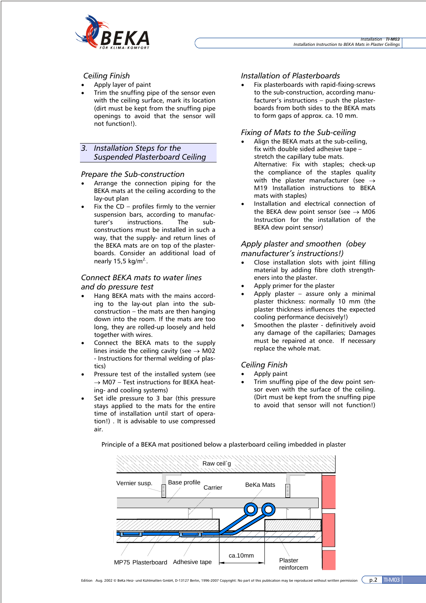

# *Ceiling Finish*

- Apply layer of paint
- Trim the snuffing pipe of the sensor even with the ceiling surface, mark its location (dirt must be kept from the snuffing pipe openings to avoid that the sensor will not function!).

*3. Installation Steps for the Suspended Plasterboard Ceiling* 

#### *Prepare the Sub-construction*

- Arrange the connection piping for the BEKA mats at the ceiling according to the lay-out plan
- Fix the  $CD$  profiles firmly to the vernier suspension bars, according to manufacturer's instructions. The subconstructions must be installed in such a way, that the supply- and return lines of the BEKA mats are on top of the plasterboards. Consider an additional load of nearly  $15.5 \text{ kg/m}^2$ .

# *Connect BEKA mats to water lines*

#### *and do pressure test*

- Hang BEKA mats with the mains according to the lay-out plan into the subconstruction – the mats are then hanging down into the room. If the mats are too long, they are rolled-up loosely and held together with wires.
- Connect the BEKA mats to the supply lines inside the ceiling cavity (see  $\rightarrow$  M02 - Instructions for thermal welding of plastics)
- Pressure test of the installed system (see  $\rightarrow$  M07 – Test instructions for BFKA heating- and cooling systems)
- Set idle pressure to 3 bar (this pressure stays applied to the mats for the entire time of installation until start of operation!) . It is advisable to use compressed air.

#### *Installation of Plasterboards*

• Fix plasterboards with rapid-fixing-screws to the sub-construction, according manufacturer's instructions – push the plasterboards from both sides to the BEKA mats to form gaps of approx. ca. 10 mm.

#### *Fixing of Mats to the Sub-ceiling*

- Align the BEKA mats at the sub-ceiling, fix with double sided adhesive tape – stretch the capillary tube mats. Alternative: Fix with staples; check-up the compliance of the staples quality with the plaster manufacturer (see  $\rightarrow$ M19 Installation instructions to BEKA mats with staples)
- Installation and electrical connection of the BEKA dew point sensor (see  $\rightarrow$  M06 Instruction for the installation of the BEKA dew point sensor)

# *Apply plaster and smoothen (obey manufacturer's instructions!)*

- Close installation slots with joint filling material by adding fibre cloth strengtheners into the plaster.
- Apply primer for the plaster
- Apply plaster assure only a minimal plaster thickness: normally 10 mm (the plaster thickness influences the expected cooling performance decisively!)
- Smoothen the plaster definitively avoid any damage of the capillaries; Damages must be repaired at once. If necessary replace the whole mat.

# *Ceiling Finish*

- Apply paint
- Trim snuffing pipe of the dew point sensor even with the surface of the ceiling. (Dirt must be kept from the snuffing pipe to avoid that sensor will not function!)



Principle of a BEKA mat positioned below a plasterboard ceiling imbedded in plaster